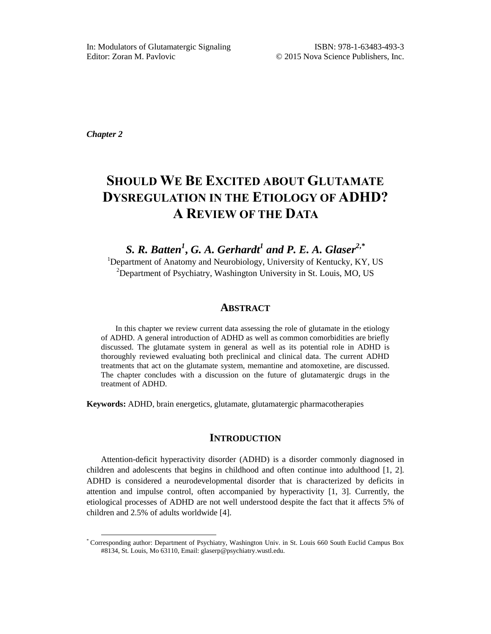*Chapter 2*

 $\overline{a}$ 

# **SHOULD WE BE EXCITED ABOUT GLUTAMATE DYSREGULATION IN THE ETIOLOGY OF ADHD? A REVIEW OF THE DATA**

*S. R. Batten<sup>1</sup>* **,** *G. A. Gerhardt<sup>1</sup> and P. E. A. Glaser<sup>2</sup>***,***\** <sup>1</sup>Department of Anatomy and Neurobiology, University of Kentucky, KY, US <sup>2</sup>Department of Psychiatry, Washington University in St. Louis, MO, US

# **ABSTRACT**

In this chapter we review current data assessing the role of glutamate in the etiology of ADHD. A general introduction of ADHD as well as common comorbidities are briefly discussed. The glutamate system in general as well as its potential role in ADHD is thoroughly reviewed evaluating both preclinical and clinical data. The current ADHD treatments that act on the glutamate system, memantine and atomoxetine, are discussed. The chapter concludes with a discussion on the future of glutamatergic drugs in the treatment of ADHD.

**Keywords:** ADHD, brain energetics, glutamate, glutamatergic pharmacotherapies

# **INTRODUCTION**

Attention-deficit hyperactivity disorder (ADHD) is a disorder commonly diagnosed in children and adolescents that begins in childhood and often continue into adulthood [1, 2]. ADHD is considered a neurodevelopmental disorder that is characterized by deficits in attention and impulse control, often accompanied by hyperactivity [1, 3]. Currently, the etiological processes of ADHD are not well understood despite the fact that it affects 5% of children and 2.5% of adults worldwide [4].

<sup>\*</sup> Corresponding author: Department of Psychiatry, Washington Univ. in St. Louis 660 South Euclid Campus Box #8134, St. Louis, Mo 63110, Email: glaserp@psychiatry.wustl.edu.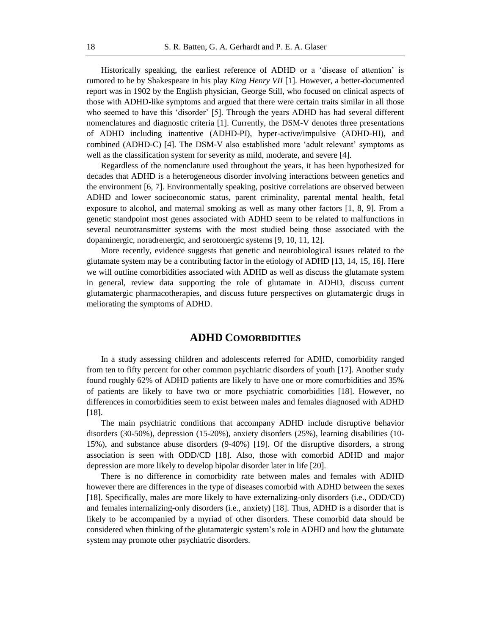Historically speaking, the earliest reference of ADHD or a ‗disease of attention' is rumored to be by Shakespeare in his play *King Henry VII* [1]. However, a better-documented report was in 1902 by the English physician, George Still, who focused on clinical aspects of those with ADHD-like symptoms and argued that there were certain traits similar in all those who seemed to have this 'disorder' [5]. Through the years ADHD has had several different nomenclatures and diagnostic criteria [1]. Currently, the DSM-V denotes three presentations of ADHD including inattentive (ADHD-PI), hyper-active/impulsive (ADHD-HI), and combined (ADHD-C) [4]. The DSM-V also established more 'adult relevant' symptoms as well as the classification system for severity as mild, moderate, and severe [4].

Regardless of the nomenclature used throughout the years, it has been hypothesized for decades that ADHD is a heterogeneous disorder involving interactions between genetics and the environment [6, 7]. Environmentally speaking, positive correlations are observed between ADHD and lower socioeconomic status, parent criminality, parental mental health, fetal exposure to alcohol, and maternal smoking as well as many other factors [1, 8, 9]. From a genetic standpoint most genes associated with ADHD seem to be related to malfunctions in several neurotransmitter systems with the most studied being those associated with the dopaminergic, noradrenergic, and serotonergic systems [9, 10, 11, 12].

More recently, evidence suggests that genetic and neurobiological issues related to the glutamate system may be a contributing factor in the etiology of ADHD [13, 14, 15, 16]. Here we will outline comorbidities associated with ADHD as well as discuss the glutamate system in general, review data supporting the role of glutamate in ADHD, discuss current glutamatergic pharmacotherapies, and discuss future perspectives on glutamatergic drugs in meliorating the symptoms of ADHD.

# **ADHD COMORBIDITIES**

In a study assessing children and adolescents referred for ADHD, comorbidity ranged from ten to fifty percent for other common psychiatric disorders of youth [17]. Another study found roughly 62% of ADHD patients are likely to have one or more comorbidities and 35% of patients are likely to have two or more psychiatric comorbidities [18]. However, no differences in comorbidities seem to exist between males and females diagnosed with ADHD [18].

The main psychiatric conditions that accompany ADHD include disruptive behavior disorders (30-50%), depression (15-20%), anxiety disorders (25%), learning disabilities (10- 15%), and substance abuse disorders (9-40%) [19]. Of the disruptive disorders, a strong association is seen with ODD/CD [18]. Also, those with comorbid ADHD and major depression are more likely to develop bipolar disorder later in life [20].

There is no difference in comorbidity rate between males and females with ADHD however there are differences in the type of diseases comorbid with ADHD between the sexes [18]. Specifically, males are more likely to have externalizing-only disorders (i.e., ODD/CD) and females internalizing-only disorders (i.e., anxiety) [18]. Thus, ADHD is a disorder that is likely to be accompanied by a myriad of other disorders. These comorbid data should be considered when thinking of the glutamatergic system's role in ADHD and how the glutamate system may promote other psychiatric disorders.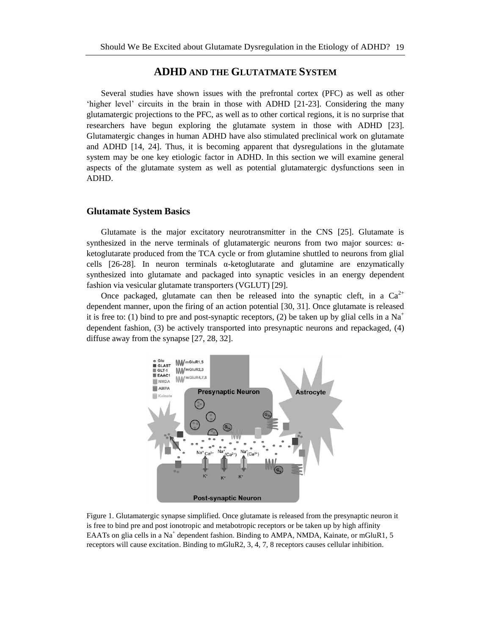# **ADHD AND THE GLUTATMATE SYSTEM**

Several studies have shown issues with the prefrontal cortex (PFC) as well as other 'higher level' circuits in the brain in those with ADHD [21-23]. Considering the many glutamatergic projections to the PFC, as well as to other cortical regions, it is no surprise that researchers have begun exploring the glutamate system in those with ADHD [23]. Glutamatergic changes in human ADHD have also stimulated preclinical work on glutamate and ADHD [14, 24]. Thus, it is becoming apparent that dysregulations in the glutamate system may be one key etiologic factor in ADHD. In this section we will examine general aspects of the glutamate system as well as potential glutamatergic dysfunctions seen in ADHD.

# **Glutamate System Basics**

Glutamate is the major excitatory neurotransmitter in the CNS [25]. Glutamate is synthesized in the nerve terminals of glutamatergic neurons from two major sources: αketoglutarate produced from the TCA cycle or from glutamine shuttled to neurons from glial cells  $[26-28]$ . In neuron terminals  $\alpha$ -ketoglutarate and glutamine are enzymatically synthesized into glutamate and packaged into synaptic vesicles in an energy dependent fashion via vesicular glutamate transporters (VGLUT) [29].

Once packaged, glutamate can then be released into the synaptic cleft, in a  $Ca^{2+}$ dependent manner, upon the firing of an action potential [30, 31]. Once glutamate is released it is free to: (1) bind to pre and post-synaptic receptors, (2) be taken up by glial cells in a Na<sup>+</sup> dependent fashion, (3) be actively transported into presynaptic neurons and repackaged, (4) diffuse away from the synapse [27, 28, 32].



Figure 1. Glutamatergic synapse simplified. Once glutamate is released from the presynaptic neuron it is free to bind pre and post ionotropic and metabotropic receptors or be taken up by high affinity EAATs on glia cells in a Na<sup>+</sup> dependent fashion. Binding to AMPA, NMDA, Kainate, or mGluR1, 5 receptors will cause excitation. Binding to mGluR2, 3, 4, 7, 8 receptors causes cellular inhibition.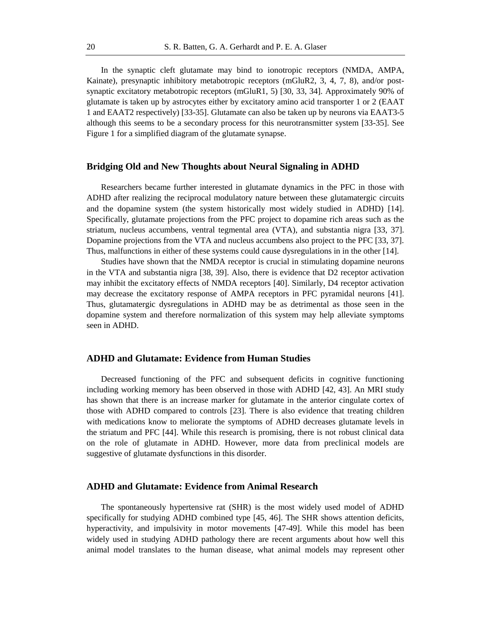In the synaptic cleft glutamate may bind to ionotropic receptors (NMDA, AMPA, Kainate), presynaptic inhibitory metabotropic receptors (mGluR2, 3, 4, 7, 8), and/or postsynaptic excitatory metabotropic receptors (mGluR1, 5) [30, 33, 34]. Approximately 90% of glutamate is taken up by astrocytes either by excitatory amino acid transporter 1 or 2 (EAAT 1 and EAAT2 respectively) [33-35]. Glutamate can also be taken up by neurons via EAAT3-5 although this seems to be a secondary process for this neurotransmitter system [33-35]. See Figure 1 for a simplified diagram of the glutamate synapse.

# **Bridging Old and New Thoughts about Neural Signaling in ADHD**

Researchers became further interested in glutamate dynamics in the PFC in those with ADHD after realizing the reciprocal modulatory nature between these glutamatergic circuits and the dopamine system (the system historically most widely studied in ADHD) [14]. Specifically, glutamate projections from the PFC project to dopamine rich areas such as the striatum, nucleus accumbens, ventral tegmental area (VTA), and substantia nigra [33, 37]. Dopamine projections from the VTA and nucleus accumbens also project to the PFC [33, 37]. Thus, malfunctions in either of these systems could cause dysregulations in in the other [14].

Studies have shown that the NMDA receptor is crucial in stimulating dopamine neurons in the VTA and substantia nigra [38, 39]. Also, there is evidence that D2 receptor activation may inhibit the excitatory effects of NMDA receptors [40]. Similarly, D4 receptor activation may decrease the excitatory response of AMPA receptors in PFC pyramidal neurons [41]. Thus, glutamatergic dysregulations in ADHD may be as detrimental as those seen in the dopamine system and therefore normalization of this system may help alleviate symptoms seen in ADHD.

## **ADHD and Glutamate: Evidence from Human Studies**

Decreased functioning of the PFC and subsequent deficits in cognitive functioning including working memory has been observed in those with ADHD [42, 43]. An MRI study has shown that there is an increase marker for glutamate in the anterior cingulate cortex of those with ADHD compared to controls [23]. There is also evidence that treating children with medications know to meliorate the symptoms of ADHD decreases glutamate levels in the striatum and PFC [44]. While this research is promising, there is not robust clinical data on the role of glutamate in ADHD. However, more data from preclinical models are suggestive of glutamate dysfunctions in this disorder.

#### **ADHD and Glutamate: Evidence from Animal Research**

The spontaneously hypertensive rat (SHR) is the most widely used model of ADHD specifically for studying ADHD combined type [45, 46]. The SHR shows attention deficits, hyperactivity, and impulsivity in motor movements [47-49]. While this model has been widely used in studying ADHD pathology there are recent arguments about how well this animal model translates to the human disease, what animal models may represent other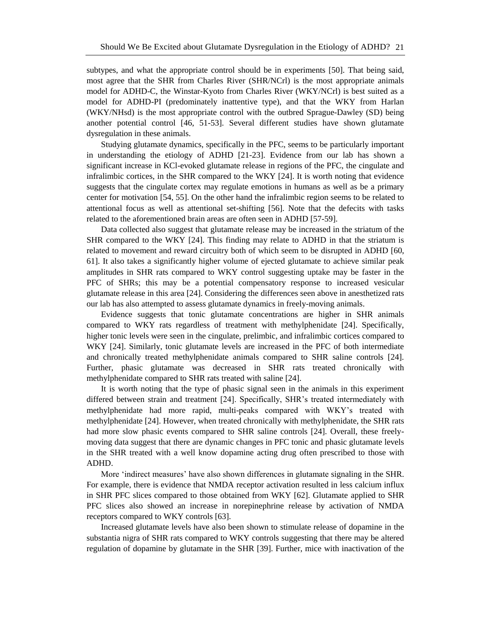subtypes, and what the appropriate control should be in experiments [50]. That being said, most agree that the SHR from Charles River (SHR/NCrl) is the most appropriate animals model for ADHD-C, the Winstar-Kyoto from Charles River (WKY/NCrl) is best suited as a model for ADHD-PI (predominately inattentive type), and that the WKY from Harlan (WKY/NHsd) is the most appropriate control with the outbred Sprague-Dawley (SD) being another potential control [46, 51-53]. Several different studies have shown glutamate dysregulation in these animals.

Studying glutamate dynamics, specifically in the PFC, seems to be particularly important in understanding the etiology of ADHD [21-23]. Evidence from our lab has shown a significant increase in KCl-evoked glutamate release in regions of the PFC, the cingulate and infralimbic cortices, in the SHR compared to the WKY [24]. It is worth noting that evidence suggests that the cingulate cortex may regulate emotions in humans as well as be a primary center for motivation [54, 55]. On the other hand the infralimbic region seems to be related to attentional focus as well as attentional set-shifting [56]. Note that the defecits with tasks related to the aforementioned brain areas are often seen in ADHD [57-59].

Data collected also suggest that glutamate release may be increased in the striatum of the SHR compared to the WKY [24]. This finding may relate to ADHD in that the striatum is related to movement and reward circuitry both of which seem to be disrupted in ADHD [60, 61]. It also takes a significantly higher volume of ejected glutamate to achieve similar peak amplitudes in SHR rats compared to WKY control suggesting uptake may be faster in the PFC of SHRs; this may be a potential compensatory response to increased vesicular glutamate release in this area [24]. Considering the differences seen above in anesthetized rats our lab has also attempted to assess glutamate dynamics in freely-moving animals.

Evidence suggests that tonic glutamate concentrations are higher in SHR animals compared to WKY rats regardless of treatment with methylphenidate [24]. Specifically, higher tonic levels were seen in the cingulate, prelimbic, and infralimbic cortices compared to WKY [24]. Similarly, tonic glutamate levels are increased in the PFC of both intermediate and chronically treated methylphenidate animals compared to SHR saline controls [24]. Further, phasic glutamate was decreased in SHR rats treated chronically with methylphenidate compared to SHR rats treated with saline [24].

It is worth noting that the type of phasic signal seen in the animals in this experiment differed between strain and treatment [24]. Specifically, SHR's treated intermediately with methylphenidate had more rapid, multi-peaks compared with WKY's treated with methylphenidate [24]. However, when treated chronically with methylphenidate, the SHR rats had more slow phasic events compared to SHR saline controls [24]. Overall, these freelymoving data suggest that there are dynamic changes in PFC tonic and phasic glutamate levels in the SHR treated with a well know dopamine acting drug often prescribed to those with ADHD.

More 'indirect measures' have also shown differences in glutamate signaling in the SHR. For example, there is evidence that NMDA receptor activation resulted in less calcium influx in SHR PFC slices compared to those obtained from WKY [62]. Glutamate applied to SHR PFC slices also showed an increase in norepinephrine release by activation of NMDA receptors compared to WKY controls [63].

Increased glutamate levels have also been shown to stimulate release of dopamine in the substantia nigra of SHR rats compared to WKY controls suggesting that there may be altered regulation of dopamine by glutamate in the SHR [39]. Further, mice with inactivation of the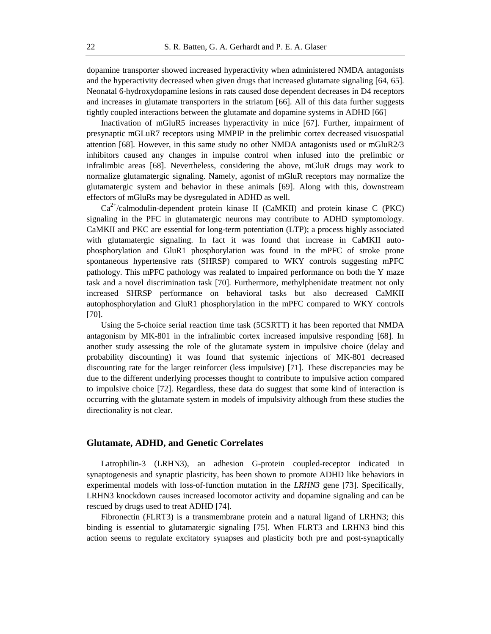dopamine transporter showed increased hyperactivity when administered NMDA antagonists and the hyperactivity decreased when given drugs that increased glutamate signaling [64, 65]. Neonatal 6-hydroxydopamine lesions in rats caused dose dependent decreases in D4 receptors and increases in glutamate transporters in the striatum [66]. All of this data further suggests tightly coupled interactions between the glutamate and dopamine systems in ADHD [66]

Inactivation of mGluR5 increases hyperactivity in mice [67]. Further, impairment of presynaptic mGLuR7 receptors using MMPIP in the prelimbic cortex decreased visuospatial attention [68]. However, in this same study no other NMDA antagonists used or mGluR2/3 inhibitors caused any changes in impulse control when infused into the prelimbic or infralimbic areas [68]. Nevertheless, considering the above, mGluR drugs may work to normalize glutamatergic signaling. Namely, agonist of mGluR receptors may normalize the glutamatergic system and behavior in these animals [69]. Along with this, downstream effectors of mGluRs may be dysregulated in ADHD as well.

 $Ca^{2+}/c$ almodulin-dependent protein kinase II (CaMKII) and protein kinase C (PKC) signaling in the PFC in glutamatergic neurons may contribute to ADHD symptomology. CaMKII and PKC are essential for long-term potentiation (LTP); a process highly associated with glutamatergic signaling. In fact it was found that increase in CaMKII autophosphorylation and GluR1 phosphorylation was found in the mPFC of stroke prone spontaneous hypertensive rats (SHRSP) compared to WKY controls suggesting mPFC pathology. This mPFC pathology was realated to impaired performance on both the Y maze task and a novel discrimination task [70]. Furthermore, methylphenidate treatment not only increased SHRSP performance on behavioral tasks but also decreased CaMKII autophosphorylation and GluR1 phosphorylation in the mPFC compared to WKY controls [70].

Using the 5-choice serial reaction time task (5CSRTT) it has been reported that NMDA antagonism by MK-801 in the infralimbic cortex increased impulsive responding [68]. In another study assessing the role of the glutamate system in impulsive choice (delay and probability discounting) it was found that systemic injections of MK-801 decreased discounting rate for the larger reinforcer (less impulsive) [71]. These discrepancies may be due to the different underlying processes thought to contribute to impulsive action compared to impulsive choice [72]. Regardless, these data do suggest that some kind of interaction is occurring with the glutamate system in models of impulsivity although from these studies the directionality is not clear.

#### **Glutamate, ADHD, and Genetic Correlates**

Latrophilin-3 (LRHN3), an adhesion G-protein coupled-receptor indicated in synaptogenesis and synaptic plasticity, has been shown to promote ADHD like behaviors in experimental models with loss-of-function mutation in the *LRHN3* gene [73]. Specifically, LRHN3 knockdown causes increased locomotor activity and dopamine signaling and can be rescued by drugs used to treat ADHD [74].

Fibronectin (FLRT3) is a transmembrane protein and a natural ligand of LRHN3; this binding is essential to glutamatergic signaling [75]. When FLRT3 and LRHN3 bind this action seems to regulate excitatory synapses and plasticity both pre and post-synaptically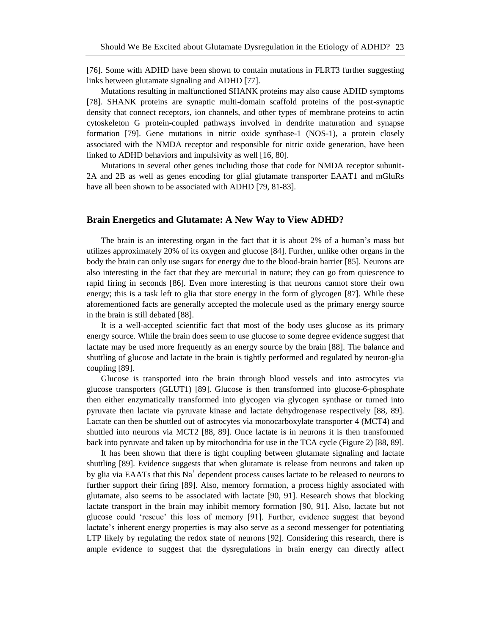[76]. Some with ADHD have been shown to contain mutations in FLRT3 further suggesting links between glutamate signaling and ADHD [77].

Mutations resulting in malfunctioned SHANK proteins may also cause ADHD symptoms [78]. SHANK proteins are synaptic multi-domain scaffold proteins of the post-synaptic density that connect receptors, ion channels, and other types of membrane proteins to actin cytoskeleton G protein-coupled pathways involved in dendrite maturation and synapse formation [79]. Gene mutations in nitric oxide synthase-1 (NOS-1), a protein closely associated with the NMDA receptor and responsible for nitric oxide generation, have been linked to ADHD behaviors and impulsivity as well [16, 80].

Mutations in several other genes including those that code for NMDA receptor subunit-2A and 2B as well as genes encoding for glial glutamate transporter EAAT1 and mGluRs have all been shown to be associated with ADHD [79, 81-83].

#### **Brain Energetics and Glutamate: A New Way to View ADHD?**

The brain is an interesting organ in the fact that it is about 2% of a human's mass but utilizes approximately 20% of its oxygen and glucose [84]. Further, unlike other organs in the body the brain can only use sugars for energy due to the blood-brain barrier [85]. Neurons are also interesting in the fact that they are mercurial in nature; they can go from quiescence to rapid firing in seconds [86]. Even more interesting is that neurons cannot store their own energy; this is a task left to glia that store energy in the form of glycogen [87]. While these aforementioned facts are generally accepted the molecule used as the primary energy source in the brain is still debated [88].

It is a well-accepted scientific fact that most of the body uses glucose as its primary energy source. While the brain does seem to use glucose to some degree evidence suggest that lactate may be used more frequently as an energy source by the brain [88]. The balance and shuttling of glucose and lactate in the brain is tightly performed and regulated by neuron-glia coupling [89].

Glucose is transported into the brain through blood vessels and into astrocytes via glucose transporters (GLUT1) [89]. Glucose is then transformed into glucose-6-phosphate then either enzymatically transformed into glycogen via glycogen synthase or turned into pyruvate then lactate via pyruvate kinase and lactate dehydrogenase respectively [88, 89]. Lactate can then be shuttled out of astrocytes via monocarboxylate transporter 4 (MCT4) and shuttled into neurons via MCT2 [88, 89]. Once lactate is in neurons it is then transformed back into pyruvate and taken up by mitochondria for use in the TCA cycle (Figure 2) [88, 89].

It has been shown that there is tight coupling between glutamate signaling and lactate shuttling [89]. Evidence suggests that when glutamate is release from neurons and taken up by glia via EAATs that this  $Na<sup>+</sup>$  dependent process causes lactate to be released to neurons to further support their firing [89]. Also, memory formation, a process highly associated with glutamate, also seems to be associated with lactate [90, 91]. Research shows that blocking lactate transport in the brain may inhibit memory formation [90, 91]. Also, lactate but not glucose could ‗rescue' this loss of memory [91]. Further, evidence suggest that beyond lactate's inherent energy properties is may also serve as a second messenger for potentiating LTP likely by regulating the redox state of neurons [92]. Considering this research, there is ample evidence to suggest that the dysregulations in brain energy can directly affect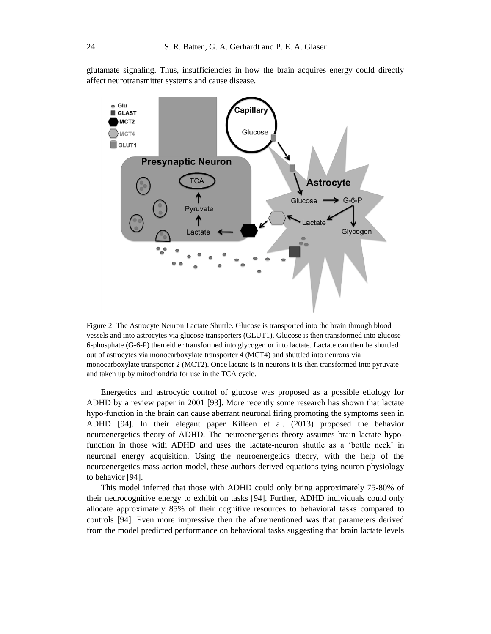

glutamate signaling. Thus, insufficiencies in how the brain acquires energy could directly affect neurotransmitter systems and cause disease.

Figure 2. The Astrocyte Neuron Lactate Shuttle. Glucose is transported into the brain through blood vessels and into astrocytes via glucose transporters (GLUT1). Glucose is then transformed into glucose-6-phosphate (G-6-P) then either transformed into glycogen or into lactate. Lactate can then be shuttled out of astrocytes via monocarboxylate transporter 4 (MCT4) and shuttled into neurons via monocarboxylate transporter 2 (MCT2). Once lactate is in neurons it is then transformed into pyruvate and taken up by mitochondria for use in the TCA cycle.

Energetics and astrocytic control of glucose was proposed as a possible etiology for ADHD by a review paper in 2001 [93]. More recently some research has shown that lactate hypo-function in the brain can cause aberrant neuronal firing promoting the symptoms seen in ADHD [94]. In their elegant paper Killeen et al. (2013) proposed the behavior neuroenergetics theory of ADHD. The neuroenergetics theory assumes brain lactate hypofunction in those with ADHD and uses the lactate-neuron shuttle as a 'bottle neck' in neuronal energy acquisition. Using the neuroenergetics theory, with the help of the neuroenergetics mass-action model, these authors derived equations tying neuron physiology to behavior [94].

This model inferred that those with ADHD could only bring approximately 75-80% of their neurocognitive energy to exhibit on tasks [94]. Further, ADHD individuals could only allocate approximately 85% of their cognitive resources to behavioral tasks compared to controls [94]. Even more impressive then the aforementioned was that parameters derived from the model predicted performance on behavioral tasks suggesting that brain lactate levels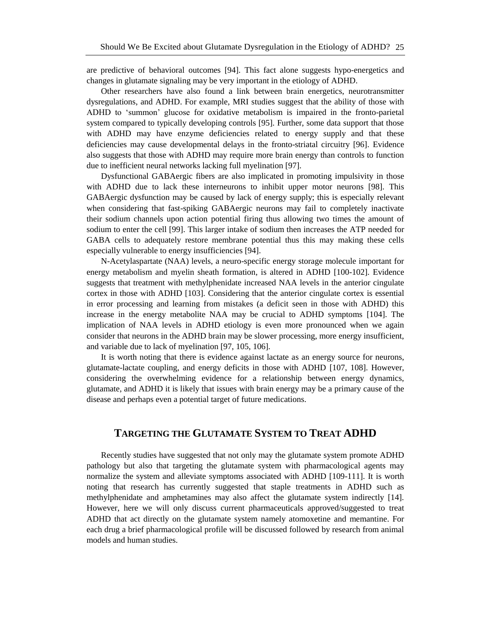are predictive of behavioral outcomes [94]. This fact alone suggests hypo-energetics and changes in glutamate signaling may be very important in the etiology of ADHD.

Other researchers have also found a link between brain energetics, neurotransmitter dysregulations, and ADHD. For example, MRI studies suggest that the ability of those with ADHD to ‗summon' glucose for oxidative metabolism is impaired in the fronto-parietal system compared to typically developing controls [95]. Further, some data support that those with ADHD may have enzyme deficiencies related to energy supply and that these deficiencies may cause developmental delays in the fronto-striatal circuitry [96]. Evidence also suggests that those with ADHD may require more brain energy than controls to function due to inefficient neural networks lacking full myelination [97].

Dysfunctional GABAergic fibers are also implicated in promoting impulsivity in those with ADHD due to lack these interneurons to inhibit upper motor neurons [98]. This GABAergic dysfunction may be caused by lack of energy supply; this is especially relevant when considering that fast-spiking GABAergic neurons may fail to completely inactivate their sodium channels upon action potential firing thus allowing two times the amount of sodium to enter the cell [99]. This larger intake of sodium then increases the ATP needed for GABA cells to adequately restore membrane potential thus this may making these cells especially vulnerable to energy insufficiencies [94].

N-Acetylaspartate (NAA) levels, a neuro-specific energy storage molecule important for energy metabolism and myelin sheath formation, is altered in ADHD [100-102]. Evidence suggests that treatment with methylphenidate increased NAA levels in the anterior cingulate cortex in those with ADHD [103]. Considering that the anterior cingulate cortex is essential in error processing and learning from mistakes (a deficit seen in those with ADHD) this increase in the energy metabolite NAA may be crucial to ADHD symptoms [104]. The implication of NAA levels in ADHD etiology is even more pronounced when we again consider that neurons in the ADHD brain may be slower processing, more energy insufficient, and variable due to lack of myelination [97, 105, 106].

It is worth noting that there is evidence against lactate as an energy source for neurons, glutamate-lactate coupling, and energy deficits in those with ADHD [107, 108]. However, considering the overwhelming evidence for a relationship between energy dynamics, glutamate, and ADHD it is likely that issues with brain energy may be a primary cause of the disease and perhaps even a potential target of future medications.

# **TARGETING THE GLUTAMATE SYSTEM TO TREAT ADHD**

Recently studies have suggested that not only may the glutamate system promote ADHD pathology but also that targeting the glutamate system with pharmacological agents may normalize the system and alleviate symptoms associated with ADHD [109-111]. It is worth noting that research has currently suggested that staple treatments in ADHD such as methylphenidate and amphetamines may also affect the glutamate system indirectly [14]. However, here we will only discuss current pharmaceuticals approved/suggested to treat ADHD that act directly on the glutamate system namely atomoxetine and memantine. For each drug a brief pharmacological profile will be discussed followed by research from animal models and human studies.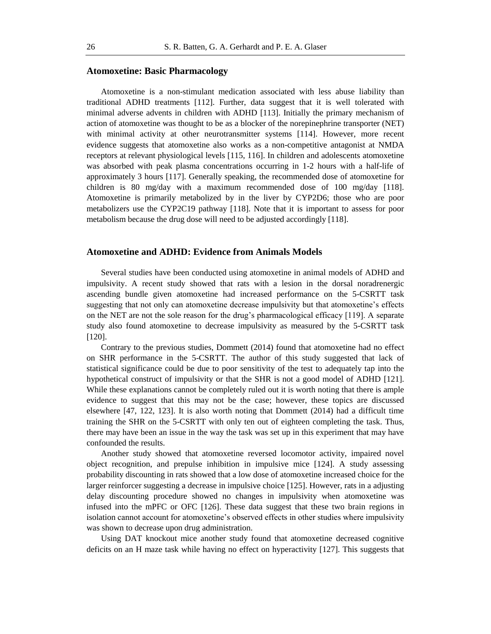#### **Atomoxetine: Basic Pharmacology**

Atomoxetine is a non-stimulant medication associated with less abuse liability than traditional ADHD treatments [112]. Further, data suggest that it is well tolerated with minimal adverse advents in children with ADHD [113]. Initially the primary mechanism of action of atomoxetine was thought to be as a blocker of the norepinephrine transporter (NET) with minimal activity at other neurotransmitter systems [114]. However, more recent evidence suggests that atomoxetine also works as a non-competitive antagonist at NMDA receptors at relevant physiological levels [115, 116]. In children and adolescents atomoxetine was absorbed with peak plasma concentrations occurring in 1-2 hours with a half-life of approximately 3 hours [117]. Generally speaking, the recommended dose of atomoxetine for children is 80 mg/day with a maximum recommended dose of 100 mg/day [118]. Atomoxetine is primarily metabolized by in the liver by CYP2D6; those who are poor metabolizers use the CYP2C19 pathway [118]. Note that it is important to assess for poor metabolism because the drug dose will need to be adjusted accordingly [118].

#### **Atomoxetine and ADHD: Evidence from Animals Models**

Several studies have been conducted using atomoxetine in animal models of ADHD and impulsivity. A recent study showed that rats with a lesion in the dorsal noradrenergic ascending bundle given atomoxetine had increased performance on the 5-CSRTT task suggesting that not only can atomoxetine decrease impulsivity but that atomoxetine's effects on the NET are not the sole reason for the drug's pharmacological efficacy [119]. A separate study also found atomoxetine to decrease impulsivity as measured by the 5-CSRTT task [120].

Contrary to the previous studies, Dommett (2014) found that atomoxetine had no effect on SHR performance in the 5-CSRTT. The author of this study suggested that lack of statistical significance could be due to poor sensitivity of the test to adequately tap into the hypothetical construct of impulsivity or that the SHR is not a good model of ADHD [121]. While these explanations cannot be completely ruled out it is worth noting that there is ample evidence to suggest that this may not be the case; however, these topics are discussed elsewhere [47, 122, 123]. It is also worth noting that Dommett (2014) had a difficult time training the SHR on the 5-CSRTT with only ten out of eighteen completing the task. Thus, there may have been an issue in the way the task was set up in this experiment that may have confounded the results.

Another study showed that atomoxetine reversed locomotor activity, impaired novel object recognition, and prepulse inhibition in impulsive mice [124]. A study assessing probability discounting in rats showed that a low dose of atomoxetine increased choice for the larger reinforcer suggesting a decrease in impulsive choice [125]. However, rats in a adjusting delay discounting procedure showed no changes in impulsivity when atomoxetine was infused into the mPFC or OFC [126]. These data suggest that these two brain regions in isolation cannot account for atomoxetine's observed effects in other studies where impulsivity was shown to decrease upon drug administration.

Using DAT knockout mice another study found that atomoxetine decreased cognitive deficits on an H maze task while having no effect on hyperactivity [127]. This suggests that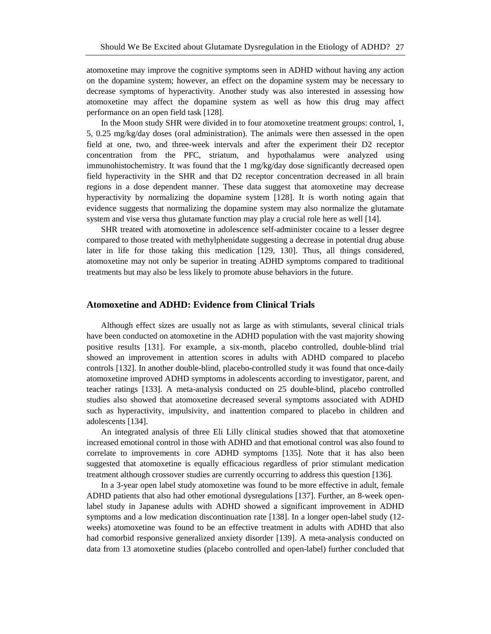atomoxetine may improve the cognitive symptoms seen in ADHD without having any action on the dopamine system; however, an effect on the dopamine system may be necessary to decrease symptoms of hyperactivity. Another study was also interested in assessing how atomoxetine may affect the dopamine system as well as how this drug may affect performance on an open field task [128].

In the Moon study SHR were divided in to four atomoxetine treatment groups: control, 1, 5, 0.25 mg/kg/day doses (oral administration). The animals were then assessed in the open field at one, two, and three-week intervals and after the experiment their D2 receptor concentration from the PFC, striatum, and hypothalamus were analyzed using immunohistochemistry. It was found that the 1 mg/kg/day dose significantly decreased open field hyperactivity in the SHR and that D2 receptor concentration decreased in all brain regions in a dose dependent manner. These data suggest that atomoxetine may decrease hyperactivity by normalizing the dopamine system [128]. It is worth noting again that evidence suggests that normalizing the dopamine system may also normalize the glutamate system and vise versa thus glutamate function may play a crucial role here as well [14].

SHR treated with atomoxetine in adolescence self-administer cocaine to a lesser degree compared to those treated with methylphenidate suggesting a decrease in potential drug abuse later in life for those taking this medication [129, 130]. Thus, all things considered, atomoxetine may not only be superior in treating ADHD symptoms compared to traditional treatments but may also be less likely to promote abuse behaviors in the future.

## **Atomoxetine and ADHD: Evidence from Clinical Trials**

Although effect sizes are usually not as large as with stimulants, several clinical trials have been conducted on atomoxetine in the ADHD population with the vast majority showing positive results [131]. For example, a six-month, placebo controlled, double-blind trial showed an improvement in attention scores in adults with ADHD compared to placebo controls [132]. In another double-blind, placebo-controlled study it was found that once-daily atomoxetine improved ADHD symptoms in adolescents according to investigator, parent, and teacher ratings [133]. A meta-analysis conducted on 25 double-blind, placebo controlled studies also showed that atomoxetine decreased several symptoms associated with ADHD such as hyperactivity, impulsivity, and inattention compared to placebo in children and adolescents [134].

An integrated analysis of three Eli Lilly clinical studies showed that that atomoxetine increased emotional control in those with ADHD and that emotional control was also found to correlate to improvements in core ADHD symptoms [135]. Note that it has also been suggested that atomoxetine is equally efficacious regardless of prior stimulant medication treatment although crossover studies are currently occurring to address this question [136].

In a 3-year open label study atomoxetine was found to be more effective in adult, female ADHD patients that also had other emotional dysregulations [137]. Further, an 8-week openlabel study in Japanese adults with ADHD showed a significant improvement in ADHD symptoms and a low medication discontinuation rate [138]. In a longer open-label study (12 weeks) atomoxetine was found to be an effective treatment in adults with ADHD that also had comorbid responsive generalized anxiety disorder [139]. A meta-analysis conducted on data from 13 atomoxetine studies (placebo controlled and open-label) further concluded that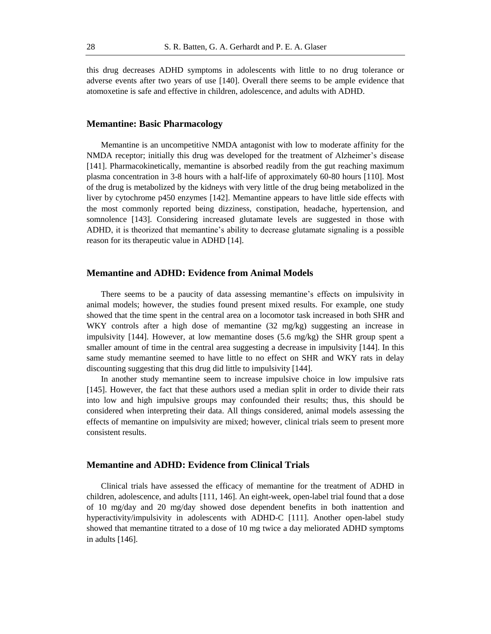this drug decreases ADHD symptoms in adolescents with little to no drug tolerance or adverse events after two years of use [140]. Overall there seems to be ample evidence that atomoxetine is safe and effective in children, adolescence, and adults with ADHD.

#### **Memantine: Basic Pharmacology**

Memantine is an uncompetitive NMDA antagonist with low to moderate affinity for the NMDA receptor; initially this drug was developed for the treatment of Alzheimer's disease [141]. Pharmacokinetically, memantine is absorbed readily from the gut reaching maximum plasma concentration in 3-8 hours with a half-life of approximately 60-80 hours [110]. Most of the drug is metabolized by the kidneys with very little of the drug being metabolized in the liver by cytochrome p450 enzymes [142]. Memantine appears to have little side effects with the most commonly reported being dizziness, constipation, headache, hypertension, and somnolence [143]. Considering increased glutamate levels are suggested in those with ADHD, it is theorized that memantine's ability to decrease glutamate signaling is a possible reason for its therapeutic value in ADHD [14].

## **Memantine and ADHD: Evidence from Animal Models**

There seems to be a paucity of data assessing memantine's effects on impulsivity in animal models; however, the studies found present mixed results. For example, one study showed that the time spent in the central area on a locomotor task increased in both SHR and WKY controls after a high dose of memantine (32 mg/kg) suggesting an increase in impulsivity [144]. However, at low memantine doses  $(5.6 \text{ mg/kg})$  the SHR group spent a smaller amount of time in the central area suggesting a decrease in impulsivity [144]. In this same study memantine seemed to have little to no effect on SHR and WKY rats in delay discounting suggesting that this drug did little to impulsivity [144].

In another study memantine seem to increase impulsive choice in low impulsive rats [145]. However, the fact that these authors used a median split in order to divide their rats into low and high impulsive groups may confounded their results; thus, this should be considered when interpreting their data. All things considered, animal models assessing the effects of memantine on impulsivity are mixed; however, clinical trials seem to present more consistent results.

#### **Memantine and ADHD: Evidence from Clinical Trials**

Clinical trials have assessed the efficacy of memantine for the treatment of ADHD in children, adolescence, and adults [111, 146]. An eight-week, open-label trial found that a dose of 10 mg/day and 20 mg/day showed dose dependent benefits in both inattention and hyperactivity/impulsivity in adolescents with ADHD-C [111]. Another open-label study showed that memantine titrated to a dose of 10 mg twice a day meliorated ADHD symptoms in adults [146].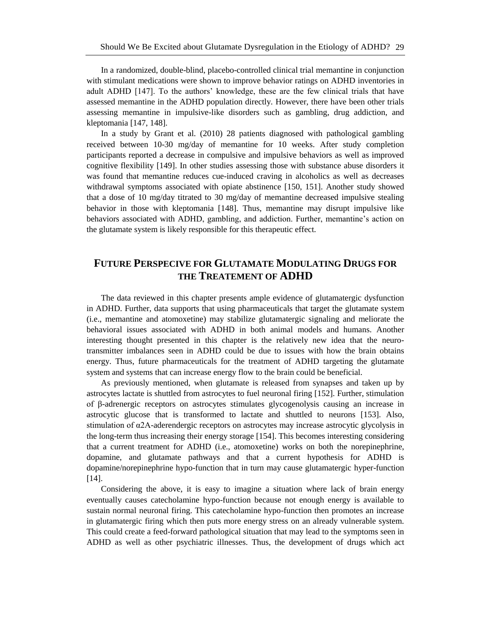In a randomized, double-blind, placebo-controlled clinical trial memantine in conjunction with stimulant medications were shown to improve behavior ratings on ADHD inventories in adult ADHD [147]. To the authors' knowledge, these are the few clinical trials that have assessed memantine in the ADHD population directly. However, there have been other trials assessing memantine in impulsive-like disorders such as gambling, drug addiction, and kleptomania [147, 148].

In a study by Grant et al. (2010) 28 patients diagnosed with pathological gambling received between 10-30 mg/day of memantine for 10 weeks. After study completion participants reported a decrease in compulsive and impulsive behaviors as well as improved cognitive flexibility [149]. In other studies assessing those with substance abuse disorders it was found that memantine reduces cue-induced craving in alcoholics as well as decreases withdrawal symptoms associated with opiate abstinence [150, 151]. Another study showed that a dose of 10 mg/day titrated to 30 mg/day of memantine decreased impulsive stealing behavior in those with kleptomania [148]. Thus, memantine may disrupt impulsive like behaviors associated with ADHD, gambling, and addiction. Further, memantine's action on the glutamate system is likely responsible for this therapeutic effect.

# **FUTURE PERSPECIVE FOR GLUTAMATE MODULATING DRUGS FOR THE TREATEMENT OF ADHD**

The data reviewed in this chapter presents ample evidence of glutamatergic dysfunction in ADHD. Further, data supports that using pharmaceuticals that target the glutamate system (i.e., memantine and atomoxetine) may stabilize glutamatergic signaling and meliorate the behavioral issues associated with ADHD in both animal models and humans. Another interesting thought presented in this chapter is the relatively new idea that the neurotransmitter imbalances seen in ADHD could be due to issues with how the brain obtains energy. Thus, future pharmaceuticals for the treatment of ADHD targeting the glutamate system and systems that can increase energy flow to the brain could be beneficial.

As previously mentioned, when glutamate is released from synapses and taken up by astrocytes lactate is shuttled from astrocytes to fuel neuronal firing [152]. Further, stimulation of β-adrenergic receptors on astrocytes stimulates glycogenolysis causing an increase in astrocytic glucose that is transformed to lactate and shuttled to neurons [153]. Also, stimulation of α2A-aderendergic receptors on astrocytes may increase astrocytic glycolysis in the long-term thus increasing their energy storage [154]. This becomes interesting considering that a current treatment for ADHD (i.e., atomoxetine) works on both the norepinephrine, dopamine, and glutamate pathways and that a current hypothesis for ADHD is dopamine/norepinephrine hypo-function that in turn may cause glutamatergic hyper-function [14].

Considering the above, it is easy to imagine a situation where lack of brain energy eventually causes catecholamine hypo-function because not enough energy is available to sustain normal neuronal firing. This catecholamine hypo-function then promotes an increase in glutamatergic firing which then puts more energy stress on an already vulnerable system. This could create a feed-forward pathological situation that may lead to the symptoms seen in ADHD as well as other psychiatric illnesses. Thus, the development of drugs which act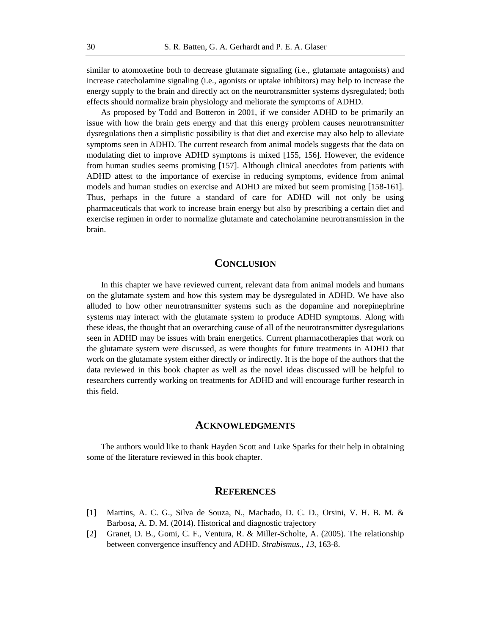similar to atomoxetine both to decrease glutamate signaling (i.e., glutamate antagonists) and increase catecholamine signaling (i.e., agonists or uptake inhibitors) may help to increase the energy supply to the brain and directly act on the neurotransmitter systems dysregulated; both effects should normalize brain physiology and meliorate the symptoms of ADHD.

As proposed by Todd and Botteron in 2001, if we consider ADHD to be primarily an issue with how the brain gets energy and that this energy problem causes neurotransmitter dysregulations then a simplistic possibility is that diet and exercise may also help to alleviate symptoms seen in ADHD. The current research from animal models suggests that the data on modulating diet to improve ADHD symptoms is mixed [155, 156]. However, the evidence from human studies seems promising [157]. Although clinical anecdotes from patients with ADHD attest to the importance of exercise in reducing symptoms, evidence from animal models and human studies on exercise and ADHD are mixed but seem promising [158-161]. Thus, perhaps in the future a standard of care for ADHD will not only be using pharmaceuticals that work to increase brain energy but also by prescribing a certain diet and exercise regimen in order to normalize glutamate and catecholamine neurotransmission in the brain.

# **CONCLUSION**

In this chapter we have reviewed current, relevant data from animal models and humans on the glutamate system and how this system may be dysregulated in ADHD. We have also alluded to how other neurotransmitter systems such as the dopamine and norepinephrine systems may interact with the glutamate system to produce ADHD symptoms. Along with these ideas, the thought that an overarching cause of all of the neurotransmitter dysregulations seen in ADHD may be issues with brain energetics. Current pharmacotherapies that work on the glutamate system were discussed, as were thoughts for future treatments in ADHD that work on the glutamate system either directly or indirectly. It is the hope of the authors that the data reviewed in this book chapter as well as the novel ideas discussed will be helpful to researchers currently working on treatments for ADHD and will encourage further research in this field.

#### **ACKNOWLEDGMENTS**

The authors would like to thank Hayden Scott and Luke Sparks for their help in obtaining some of the literature reviewed in this book chapter.

# **REFERENCES**

- [1] Martins, A. C. G., Silva de Souza, N., Machado, D. C. D., Orsini, V. H. B. M. & Barbosa, A. D. M. (2014). Historical and diagnostic trajectory
- [2] Granet, D. B., Gomi, C. F., Ventura, R. & Miller-Scholte, A. (2005). The relationship between convergence insuffency and ADHD. *Strabismus.*, *13*, 163-8.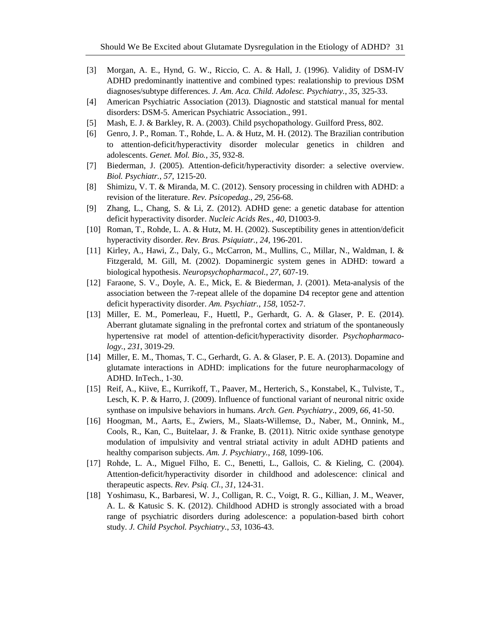- [3] Morgan, A. E., Hynd, G. W., Riccio, C. A. & Hall, J. (1996). Validity of DSM-IV ADHD predominantly inattentive and combined types: realationship to previous DSM diagnoses/subtype differences. *J. Am. Aca. Child. Adolesc. Psychiatry.*, *35*, 325-33.
- [4] American Psychiatric Association (2013). Diagnostic and statstical manual for mental disorders: DSM-5. American Psychiatric Association., 991.
- [5] Mash, E. J. & Barkley, R. A. (2003). Child psychopathology. Guilford Press, 802.
- [6] Genro, J. P., Roman. T., Rohde, L. A. & Hutz, M. H. (2012). The Brazilian contribution to attention-deficit/hyperactivity disorder molecular genetics in children and adolescents. *Genet. Mol. Bio.*, *35*, 932-8.
- [7] Biederman, J. (2005). Attention-deficit/hyperactivity disorder: a selective overview. *Biol. Psychiatr.*, *57*, 1215-20.
- [8] Shimizu, V. T. & Miranda, M. C. (2012). Sensory processing in children with ADHD: a revision of the literature. *Rev. Psicopedag.*, *29*, 256-68.
- [9] Zhang, L., Chang, S. & Li, Z. (2012). ADHD gene: a genetic database for attention deficit hyperactivity disorder. *Nucleic Acids Res.*, *40*, D1003-9.
- [10] Roman, T., Rohde, L. A. & Hutz, M. H. (2002). Susceptibility genes in attention/deficit hyperactivity disorder. *Rev. Bras. Psiquiatr.*, *24*, 196-201.
- [11] Kirley, A., Hawi, Z., Daly, G., McCarron, M., Mullins, C., Millar, N., Waldman, I. & Fitzgerald, M. Gill, M. (2002). Dopaminergic system genes in ADHD: toward a biological hypothesis. *Neuropsychopharmacol.*, *27*, 607-19.
- [12] Faraone, S. V., Doyle, A. E., Mick, E. & Biederman, J. (2001). Meta-analysis of the association between the 7-repeat allele of the dopamine D4 receptor gene and attention deficit hyperactivity disorder. *Am. Psychiatr.*, *158*, 1052-7.
- [13] Miller, E. M., Pomerleau, F., Huettl, P., Gerhardt, G. A. & Glaser, P. E. (2014). Aberrant glutamate signaling in the prefrontal cortex and striatum of the spontaneously hypertensive rat model of attention-deficit/hyperactivity disorder. *Psychopharmacology.*, *231*, 3019-29.
- [14] Miller, E. M., Thomas, T. C., Gerhardt, G. A. & Glaser, P. E. A. (2013). Dopamine and glutamate interactions in ADHD: implications for the future neuropharmacology of ADHD. InTech., 1-30.
- [15] Reif, A., Kiive, E., Kurrikoff, T., Paaver, M., Herterich, S., Konstabel, K., Tulviste, T., Lesch, K. P. & Harro, J. (2009). Influence of functional variant of neuronal nitric oxide synthase on impulsive behaviors in humans. *Arch. Gen. Psychiatry*., 2009, *66*, 41-50.
- [16] Hoogman, M., Aarts, E., Zwiers, M., Slaats-Willemse, D., Naber, M., Onnink, M., Cools, R., Kan, C., Buitelaar, J. & Franke, B. (2011). Nitric oxide synthase genotype modulation of impulsivity and ventral striatal activity in adult ADHD patients and healthy comparison subjects. *Am. J. Psychiatry.*, *168*, 1099-106.
- [17] Rohde, L. A., Miguel Filho, E. C., Benetti, L., Gallois, C. & Kieling, C. (2004). Attention-deficit/hyperactivity disorder in childhood and adolescence: clinical and therapeutic aspects. *Rev. Psiq. Cl.*, *31*, 124-31.
- [18] Yoshimasu, K., Barbaresi, W. J., Colligan, R. C., Voigt, R. G., Killian, J. M., Weaver, A. L. & Katusic S. K. (2012). Childhood ADHD is strongly associated with a broad range of psychiatric disorders during adolescence: a population-based birth cohort study. *J. Child Psychol. Psychiatry.*, *53*, 1036-43.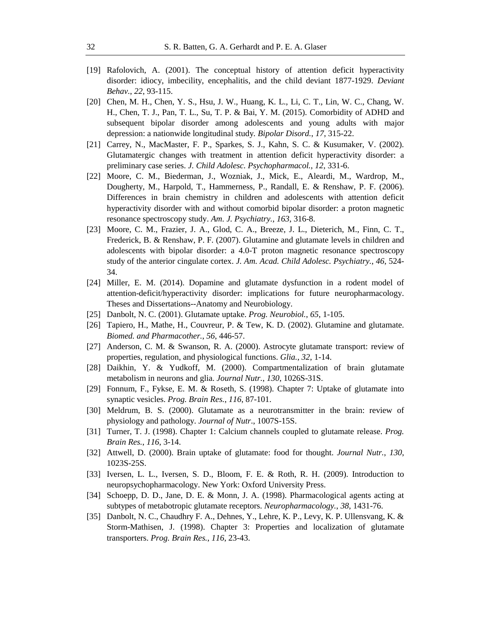- [19] Rafolovich, A. (2001). The conceptual history of attention deficit hyperactivity disorder: idiocy, imbecility, encephalitis, and the child deviant 1877-1929. *Deviant Behav.*, *22*, 93-115.
- [20] Chen, M. H., Chen, Y. S., Hsu, J. W., Huang, K. L., Li, C. T., Lin, W. C., Chang, W. H., Chen, T. J., Pan, T. L., Su, T. P. & Bai, Y. M. (2015). Comorbidity of ADHD and subsequent bipolar disorder among adolescents and young adults with major depression: a nationwide longitudinal study*. Bipolar Disord.*, *17*, 315-22.
- [21] Carrey, N., MacMaster, F. P., Sparkes, S. J., Kahn, S. C. & Kusumaker, V. (2002). Glutamatergic changes with treatment in attention deficit hyperactivity disorder: a preliminary case series. *J. Child Adolesc. Psychopharmacol.*, *12*, 331-6.
- [22] Moore, C. M., Biederman, J., Wozniak, J., Mick, E., Aleardi, M., Wardrop, M., Dougherty, M., Harpold, T., Hammerness, P., Randall, E. & Renshaw, P. F. (2006). Differences in brain chemistry in children and adolescents with attention deficit hyperactivity disorder with and without comorbid bipolar disorder: a proton magnetic resonance spectroscopy study. *Am. J. Psychiatry.*, *163*, 316-8.
- [23] Moore, C. M., Frazier, J. A., Glod, C. A., Breeze, J. L., Dieterich, M., Finn, C. T., Frederick, B. & Renshaw, P. F. (2007). Glutamine and glutamate levels in children and adolescents with bipolar disorder: a 4.0-T proton magnetic resonance spectroscopy study of the anterior cingulate cortex. *J. Am. Acad. Child Adolesc. Psychiatry.*, *46*, 524- 34.
- [24] Miller, E. M. (2014). Dopamine and glutamate dysfunction in a rodent model of attention-deficit/hyperactivity disorder: implications for future neuropharmacology. Theses and Dissertations--Anatomy and Neurobiology.
- [25] Danbolt, N. C. (2001). Glutamate uptake. *Prog. Neurobiol.*, *65*, 1-105.
- [26] Tapiero, H., Mathe, H., Couvreur, P. & Tew, K. D. (2002). Glutamine and glutamate. *Biomed. and Pharmacother.*, *56*, 446-57.
- [27] Anderson, C. M. & Swanson, R. A. (2000). Astrocyte glutamate transport: review of properties, regulation, and physiological functions. *Glia.*, *32*, 1-14.
- [28] Daikhin, Y. & Yudkoff, M. (2000). Compartmentalization of brain glutamate metabolism in neurons and glia. *Journal Nutr.*, *130*, 1026S-31S.
- [29] Fonnum, F., Fykse, E. M. & Roseth, S. (1998). Chapter 7: Uptake of glutamate into synaptic vesicles. *Prog. Brain Res.*, *116*, 87-101.
- [30] Meldrum, B. S. (2000). Glutamate as a neurotransmitter in the brain: review of physiology and pathology. *Journal of Nutr*., 1007S-15S.
- [31] Turner, T. J. (1998). Chapter 1: Calcium channels coupled to glutamate release. *Prog. Brain Res.*, *116*, 3-14.
- [32] Attwell, D. (2000). Brain uptake of glutamate: food for thought. *Journal Nutr.*, *130*, 1023S-25S.
- [33] Iversen, L. L., Iversen, S. D., Bloom, F. E. & Roth, R. H. (2009). Introduction to neuropsychopharmacology. New York: Oxford University Press.
- [34] Schoepp, D. D., Jane, D. E. & Monn, J. A. (1998). Pharmacological agents acting at subtypes of metabotropic glutamate receptors. *Neuropharmacology.*, *38*, 1431-76.
- [35] Danbolt, N. C., Chaudhry F. A., Dehnes, Y., Lehre, K. P., Levy, K. P. Ullensvang, K. & Storm-Mathisen, J. (1998). Chapter 3: Properties and localization of glutamate transporters. *Prog. Brain Res.*, *116*, 23-43.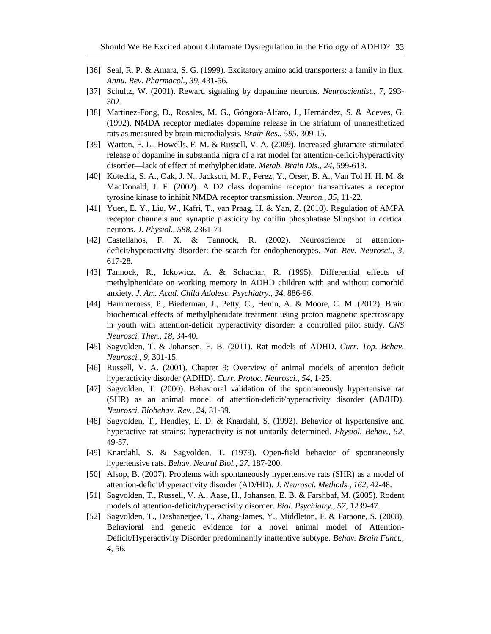- [36] Seal, R. P. & Amara, S. G. (1999). Excitatory amino acid transporters: a family in flux*. Annu. Rev. Pharmacol.*, *39*, 431-56.
- [37] Schultz, W. (2001). Reward signaling by dopamine neurons. *Neuroscientist.*, *7*, 293- 302.
- [38] Martinez-Fong, D., Rosales, M. G., Góngora-Alfaro, J., Hernández, S. & Aceves, G. (1992). NMDA receptor mediates dopamine release in the striatum of unanesthetized rats as measured by brain microdialysis. *Brain Res.*, *595*, 309-15.
- [39] Warton, F. L., Howells, F. M. & Russell, V. A. (2009). Increased glutamate-stimulated release of dopamine in substantia nigra of a rat model for attention-deficit/hyperactivity disorder—lack of effect of methylphenidate. *Metab. Brain Dis.*, *24*, 599-613.
- [40] Kotecha, S. A., Oak, J. N., Jackson, M. F., Perez, Y., Orser, B. A., Van Tol H. H. M. & MacDonald, J. F. (2002). A D2 class dopamine receptor transactivates a receptor tyrosine kinase to inhibit NMDA receptor transmission. *Neuron.*, *35*, 11-22.
- [41] Yuen, E. Y., Liu, W., Kafri, T., van Praag, H. & Yan, Z. (2010). Regulation of AMPA receptor channels and synaptic plasticity by cofilin phosphatase Slingshot in cortical neurons. *J. Physiol.*, *588*, 2361-71.
- [42] Castellanos, F. X. & Tannock, R. (2002). Neuroscience of attentiondeficit/hyperactivity disorder: the search for endophenotypes. *Nat. Rev. Neurosci.*, *3*, 617-28.
- [43] Tannock, R., Ickowicz, A. & Schachar, R. (1995). Differential effects of methylphenidate on working memory in ADHD children with and without comorbid anxiety. *J. Am. Acad. Child Adolesc. Psychiatry.*, *34*, 886-96.
- [44] Hammerness, P., Biederman, J., Petty, C., Henin, A. & Moore, C. M. (2012). Brain biochemical effects of methylphenidate treatment using proton magnetic spectroscopy in youth with attention-deficit hyperactivity disorder: a controlled pilot study. *CNS Neurosci. Ther.*, *18*, 34-40.
- [45] Sagvolden, T. & Johansen, E. B. (2011). Rat models of ADHD. *Curr. Top. Behav. Neurosci.*, *9*, 301-15.
- [46] Russell, V. A. (2001). Chapter 9: Overview of animal models of attention deficit hyperactivity disorder (ADHD). *Curr. Protoc. Neurosci.*, *54*, 1-25.
- [47] Sagvolden, T. (2000). Behavioral validation of the spontaneously hypertensive rat (SHR) as an animal model of attention-deficit/hyperactivity disorder (AD/HD). *Neurosci. Biobehav. Rev.*, *24*, 31-39.
- [48] Sagvolden, T., Hendley, E. D. & Knardahl, S. (1992). Behavior of hypertensive and hyperactive rat strains: hyperactivity is not unitarily determined. *Physiol. Behav.*, *52*, 49-57.
- [49] Knardahl, S. & Sagvolden, T. (1979). Open-field behavior of spontaneously hypertensive rats. *Behav. Neural Biol.*, *27*, 187-200.
- [50] Alsop, B. (2007). Problems with spontaneously hypertensive rats (SHR) as a model of attention-deficit/hyperactivity disorder (AD/HD). *J. Neurosci. Methods.*, *162*, 42-48.
- [51] Sagvolden, T., Russell, V. A., Aase, H., Johansen, E. B. & Farshbaf, M. (2005). Rodent models of attention-deficit/hyperactivity disorder. *Biol. Psychiatry.*, *57*, 1239-47.
- [52] Sagvolden, T., Dasbanerjee, T., Zhang-James, Y., Middleton, F. & Faraone, S. (2008). Behavioral and genetic evidence for a novel animal model of Attention-Deficit/Hyperactivity Disorder predominantly inattentive subtype. *Behav. Brain Funct.*, *4*, 56.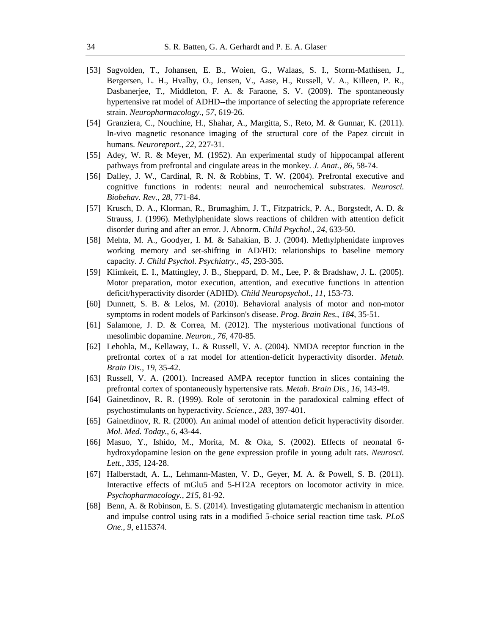- [53] Sagvolden, T., Johansen, E. B., Woien, G., Walaas, S. I., Storm-Mathisen, J., Bergersen, L. H., Hvalby, O., Jensen, V., Aase, H., Russell, V. A., Killeen, P. R., Dasbanerjee, T., Middleton, F. A. & Faraone, S. V. (2009). The spontaneously hypertensive rat model of ADHD--the importance of selecting the appropriate reference strain*. Neuropharmacology.*, *57*, 619-26.
- [54] Granziera, C., Nouchine, H., Shahar, A., Margitta, S., Reto, M. & Gunnar, K. (2011). In-vivo magnetic resonance imaging of the structural core of the Papez circuit in humans. *Neuroreport.*, *22*, 227-31.
- [55] Adey, W. R. & Meyer, M. (1952). An experimental study of hippocampal afferent pathways from prefrontal and cingulate areas in the monkey. *J. Anat.*, *86*, 58-74.
- [56] Dalley, J. W., Cardinal, R. N. & Robbins, T. W. (2004). Prefrontal executive and cognitive functions in rodents: neural and neurochemical substrates. *Neurosci. Biobehav. Rev.*, *28*, 771-84.
- [57] Krusch, D. A., Klorman, R., Brumaghim, J. T., Fitzpatrick, P. A., Borgstedt, A. D. & Strauss, J. (1996). Methylphenidate slows reactions of children with attention deficit disorder during and after an error. J. Abnorm. *Child Psychol.*, *24*, 633-50.
- [58] Mehta, M. A., Goodyer, I. M. & Sahakian, B. J. (2004). Methylphenidate improves working memory and set-shifting in AD/HD: relationships to baseline memory capacity. *J. Child Psychol. Psychiatry.*, *45*, 293-305.
- [59] Klimkeit, E. I., Mattingley, J. B., Sheppard, D. M., Lee, P. & Bradshaw, J. L. (2005). Motor preparation, motor execution, attention, and executive functions in attention deficit/hyperactivity disorder (ADHD). *Child Neuropsychol.*, *11*, 153-73.
- [60] Dunnett, S. B. & Lelos, M. (2010). Behavioral analysis of motor and non-motor symptoms in rodent models of Parkinson's disease. *Prog. Brain Res.*, *184*, 35-51.
- [61] Salamone, J. D. & Correa, M. (2012). The mysterious motivational functions of mesolimbic dopamine. *Neuron.*, *76*, 470-85.
- [62] Lehohla, M., Kellaway, L. & Russell, V. A. (2004). NMDA receptor function in the prefrontal cortex of a rat model for attention-deficit hyperactivity disorder. *Metab. Brain Dis.*, *19*, 35-42.
- [63] Russell, V. A. (2001). Increased AMPA receptor function in slices containing the prefrontal cortex of spontaneously hypertensive rats. *Metab. Brain Dis.*, *16*, 143-49.
- [64] Gainetdinov, R. R. (1999). Role of serotonin in the paradoxical calming effect of psychostimulants on hyperactivity. *Science.*, *283*, 397-401.
- [65] Gainetdinov, R. R. (2000). An animal model of attention deficit hyperactivity disorder. *Mol. Med. Today.*, *6*, 43-44.
- [66] Masuo, Y., Ishido, M., Morita, M. & Oka, S. (2002). Effects of neonatal 6 hydroxydopamine lesion on the gene expression profile in young adult rats. *Neurosci. Lett.*, *335*, 124-28.
- [67] Halberstadt, A. L., Lehmann-Masten, V. D., Geyer, M. A. & Powell, S. B. (2011). Interactive effects of mGlu5 and 5-HT2A receptors on locomotor activity in mice. *Psychopharmacology.*, *215*, 81-92.
- [68] Benn, A. & Robinson, E. S. (2014). Investigating glutamatergic mechanism in attention and impulse control using rats in a modified 5-choice serial reaction time task. *PLoS One.*, *9*, e115374.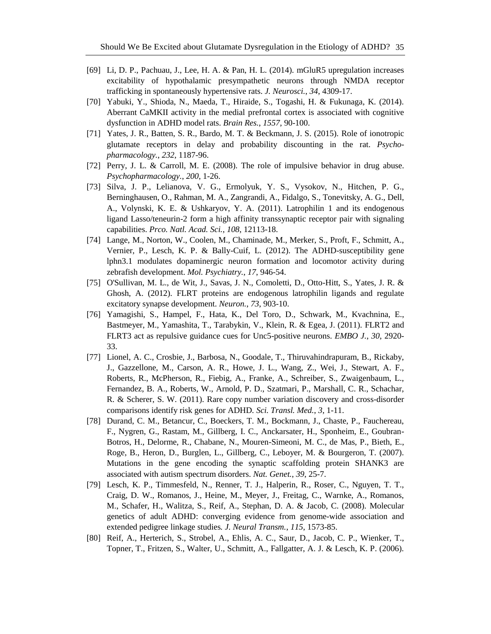- [69] Li, D. P., Pachuau, J., Lee, H. A. & Pan, H. L. (2014). mGluR5 upregulation increases excitability of hypothalamic presympathetic neurons through NMDA receptor trafficking in spontaneously hypertensive rats. *J. Neurosci.*, *34*, 4309-17.
- [70] Yabuki, Y., Shioda, N., Maeda, T., Hiraide, S., Togashi, H. & Fukunaga, K. (2014). Aberrant CaMKII activity in the medial prefrontal cortex is associated with cognitive dysfunction in ADHD model rats. *Brain Res.*, *1557*, 90-100.
- [71] Yates, J. R., Batten, S. R., Bardo, M. T. & Beckmann, J. S. (2015). Role of ionotropic glutamate receptors in delay and probability discounting in the rat. *Psychopharmacology.*, *232*, 1187-96.
- [72] Perry, J. L. & Carroll, M. E. (2008). The role of impulsive behavior in drug abuse. *Psychopharmacology.*, *200*, 1-26.
- [73] Silva, J. P., Lelianova, V. G., Ermolyuk, Y. S., Vysokov, N., Hitchen, P. G., Berninghausen, O., Rahman, M. A., Zangrandi, A., Fidalgo, S., Tonevitsky, A. G., Dell, A., Volynski, K. E. & Ushkaryov, Y. A. (2011). Latrophilin 1 and its endogenous ligand Lasso/teneurin-2 form a high affinity transsynaptic receptor pair with signaling capabilities. *Prco. Natl. Acad. Sci.*, *108*, 12113-18.
- [74] Lange, M., Norton, W., Coolen, M., Chaminade, M., Merker, S., Proft, F., Schmitt, A., Vernier, P., Lesch, K. P. & Bally-Cuif, L. (2012). The ADHD-susceptibility gene lphn3.1 modulates dopaminergic neuron formation and locomotor activity during zebrafish development. *Mol. Psychiatry.*, *17*, 946-54.
- [75] O'Sullivan, M. L., de Wit, J., Savas, J. N., Comoletti, D., Otto-Hitt, S., Yates, J. R. & Ghosh, A. (2012). FLRT proteins are endogenous latrophilin ligands and regulate excitatory synapse development. *Neuron.*, *73*, 903-10.
- [76] Yamagishi, S., Hampel, F., Hata, K., Del Toro, D., Schwark, M., Kvachnina, E., Bastmeyer, M., Yamashita, T., Tarabykin, V., Klein, R. & Egea, J. (2011). FLRT2 and FLRT3 act as repulsive guidance cues for Unc5-positive neurons. *EMBO J.*, *30*, 2920- 33.
- [77] Lionel, A. C., Crosbie, J., Barbosa, N., Goodale, T., Thiruvahindrapuram, B., Rickaby, J., Gazzellone, M., Carson, A. R., Howe, J. L., Wang, Z., Wei, J., Stewart, A. F., Roberts, R., McPherson, R., Fiebig, A., Franke, A., Schreiber, S., Zwaigenbaum, L., Fernandez, B. A., Roberts, W., Arnold, P. D., Szatmari, P., Marshall, C. R., Schachar, R. & Scherer, S. W. (2011). Rare copy number variation discovery and cross-disorder comparisons identify risk genes for ADHD*. Sci. Transl. Med.*, *3*, 1-11.
- [78] Durand, C. M., Betancur, C., Boeckers, T. M., Bockmann, J., Chaste, P., Fauchereau, F., Nygren, G., Rastam, M., Gillberg, I. C., Anckarsater, H., Sponheim, E., Goubran-Botros, H., Delorme, R., Chabane, N., Mouren-Simeoni, M. C., de Mas, P., Bieth, E., Roge, B., Heron, D., Burglen, L., Gillberg, C., Leboyer, M. & Bourgeron, T. (2007). Mutations in the gene encoding the synaptic scaffolding protein SHANK3 are associated with autism spectrum disorders. *Nat. Genet.*, *39*, 25-7.
- [79] Lesch, K. P., Timmesfeld, N., Renner, T. J., Halperin, R., Roser, C., Nguyen, T. T., Craig, D. W., Romanos, J., Heine, M., Meyer, J., Freitag, C., Warnke, A., Romanos, M., Schafer, H., Walitza, S., Reif, A., Stephan, D. A. & Jacob, C. (2008). Molecular genetics of adult ADHD: converging evidence from genome-wide association and extended pedigree linkage studies*. J. Neural Transm.*, *115*, 1573-85.
- [80] Reif, A., Herterich, S., Strobel, A., Ehlis, A. C., Saur, D., Jacob, C. P., Wienker, T., Topner, T., Fritzen, S., Walter, U., Schmitt, A., Fallgatter, A. J. & Lesch, K. P. (2006).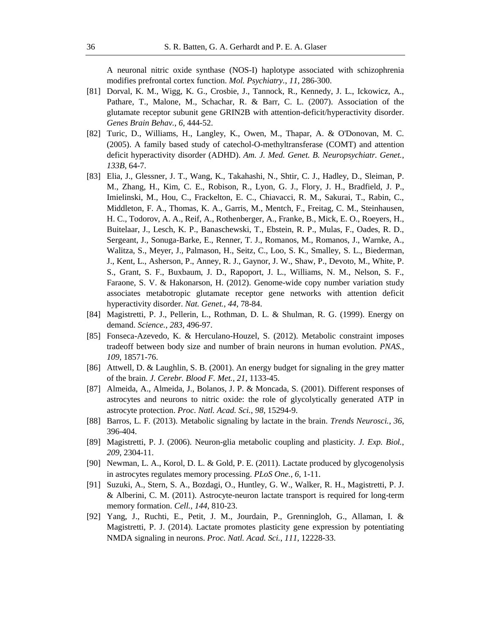A neuronal nitric oxide synthase (NOS-I) haplotype associated with schizophrenia modifies prefrontal cortex function. *Mol. Psychiatry.*, *11*, 286-300.

- [81] Dorval, K. M., Wigg, K. G., Crosbie, J., Tannock, R., Kennedy, J. L., Ickowicz, A., Pathare, T., Malone, M., Schachar, R. & Barr, C. L. (2007). Association of the glutamate receptor subunit gene GRIN2B with attention-deficit/hyperactivity disorder. *Genes Brain Behav.*, *6*, 444-52.
- [82] Turic, D., Williams, H., Langley, K., Owen, M., Thapar, A. & O'Donovan, M. C. (2005). A family based study of catechol-O-methyltransferase (COMT) and attention deficit hyperactivity disorder (ADHD). *Am. J. Med. Genet. B. Neuropsychiatr. Genet.*, *133B*, 64-7.
- [83] Elia, J., Glessner, J. T., Wang, K., Takahashi, N., Shtir, C. J., Hadley, D., Sleiman, P. M., Zhang, H., Kim, C. E., Robison, R., Lyon, G. J., Flory, J. H., Bradfield, J. P., Imielinski, M., Hou, C., Frackelton, E. C., Chiavacci, R. M., Sakurai, T., Rabin, C., Middleton, F. A., Thomas, K. A., Garris, M., Mentch, F., Freitag, C. M., Steinhausen, H. C., Todorov, A. A., Reif, A., Rothenberger, A., Franke, B., Mick, E. O., Roeyers, H., Buitelaar, J., Lesch, K. P., Banaschewski, T., Ebstein, R. P., Mulas, F., Oades, R. D., Sergeant, J., Sonuga-Barke, E., Renner, T. J., Romanos, M., Romanos, J., Warnke, A., Walitza, S., Meyer, J., Palmason, H., Seitz, C., Loo, S. K., Smalley, S. L., Biederman, J., Kent, L., Asherson, P., Anney, R. J., Gaynor, J. W., Shaw, P., Devoto, M., White, P. S., Grant, S. F., Buxbaum, J. D., Rapoport, J. L., Williams, N. M., Nelson, S. F., Faraone, S. V. & Hakonarson, H. (2012). Genome-wide copy number variation study associates metabotropic glutamate receptor gene networks with attention deficit hyperactivity disorder. *Nat. Genet.*, *44*, 78-84.
- [84] Magistretti, P. J., Pellerin, L., Rothman, D. L. & Shulman, R. G. (1999). Energy on demand. *Science.*, *283*, 496-97.
- [85] Fonseca-Azevedo, K. & Herculano-Houzel, S. (2012). Metabolic constraint imposes tradeoff between body size and number of brain neurons in human evolution. *PNAS.*, *109*, 18571-76.
- [86] Attwell, D. & Laughlin, S. B. (2001). An energy budget for signaling in the grey matter of the brain. *J. Cerebr. Blood F. Met.*, *21*, 1133-45.
- [87] Almeida, A., Almeida, J., Bolanos, J. P. & Moncada, S. (2001). Different responses of astrocytes and neurons to nitric oxide: the role of glycolytically generated ATP in astrocyte protection. *Proc. Natl. Acad. Sci.*, *98*, 15294-9.
- [88] Barros, L. F. (2013). Metabolic signaling by lactate in the brain. *Trends Neurosci.*, *36*, 396-404.
- [89] Magistretti, P. J. (2006). Neuron-glia metabolic coupling and plasticity. *J. Exp. Biol.*, *209*, 2304-11.
- [90] Newman, L. A., Korol, D. L. & Gold, P. E. (2011). Lactate produced by glycogenolysis in astrocytes regulates memory processing. *PLoS One.*, *6*, 1-11.
- [91] Suzuki, A., Stern, S. A., Bozdagi, O., Huntley, G. W., Walker, R. H., Magistretti, P. J. & Alberini, C. M. (2011). Astrocyte-neuron lactate transport is required for long-term memory formation. *Cell.*, *144*, 810-23.
- [92] Yang, J., Ruchti, E., Petit, J. M., Jourdain, P., Grenningloh, G., Allaman, I. & Magistretti, P. J. (2014). Lactate promotes plasticity gene expression by potentiating NMDA signaling in neurons. *Proc. Natl. Acad. Sci.*, *111*, 12228-33.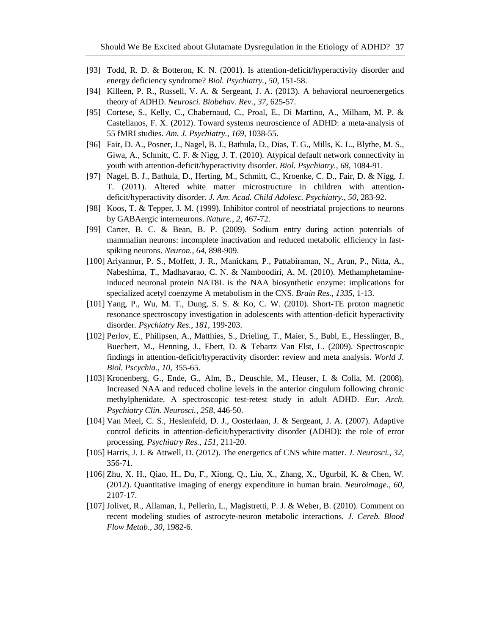- [93] Todd, R. D. & Botteron, K. N. (2001). Is attention-deficit/hyperactivity disorder and energy deficiency syndrome? *Biol. Psychiatry.*, *50*, 151-58.
- [94] Killeen, P. R., Russell, V. A. & Sergeant, J. A. (2013). A behavioral neuroenergetics theory of ADHD. *Neurosci. Biobehav. Rev.*, *37*, 625-57.
- [95] Cortese, S., Kelly, C., Chabernaud, C., Proal, E., Di Martino, A., Milham, M. P. & Castellanos, F. X. (2012). Toward systems neuroscience of ADHD: a meta-analysis of 55 fMRI studies. *Am. J. Psychiatry.*, *169*, 1038-55.
- [96] Fair, D. A., Posner, J., Nagel, B. J., Bathula, D., Dias, T. G., Mills, K. L., Blythe, M. S., Giwa, A., Schmitt, C. F. & Nigg, J. T. (2010). Atypical default network connectivity in youth with attention-deficit/hyperactivity disorder. *Biol. Psychiatry.*, *68*, 1084-91.
- [97] Nagel, B. J., Bathula, D., Herting, M., Schmitt, C., Kroenke, C. D., Fair, D. & Nigg, J. T. (2011). Altered white matter microstructure in children with attentiondeficit/hyperactivity disorder. *J. Am. Acad. Child Adolesc. Psychiatry.*, *50*, 283-92.
- [98] Koos, T. & Tepper, J. M. (1999). Inhibitor control of neostriatal projections to neurons by GABAergic interneurons. *Nature.*, *2*, 467-72.
- [99] Carter, B. C. & Bean, B. P. (2009). Sodium entry during action potentials of mammalian neurons: incomplete inactivation and reduced metabolic efficiency in fastspiking neurons. *Neuron.*, *64*, 898-909.
- [100] Ariyannur, P. S., Moffett, J. R., Manickam, P., Pattabiraman, N., Arun, P., Nitta, A., Nabeshima, T., Madhavarao, C. N. & Namboodiri, A. M. (2010). Methamphetamineinduced neuronal protein NAT8L is the NAA biosynthetic enzyme: implications for specialized acetyl coenzyme A metabolism in the CNS. *Brain Res.*, *1335*, 1-13.
- [101] Yang, P., Wu, M. T., Dung, S. S. & Ko, C. W. (2010). Short-TE proton magnetic resonance spectroscopy investigation in adolescents with attention-deficit hyperactivity disorder*. Psychiatry Res.*, *181*, 199-203.
- [102] Perlov, E., Philipsen, A., Matthies, S., Drieling, T., Maier, S., Bubl, E., Hesslinger, B., Buechert, M., Henning, J., Ebert, D. & Tebartz Van Elst, L. (2009). Spectroscopic findings in attention-deficit/hyperactivity disorder: review and meta analysis. *World J. Biol. Pscychia.*, *10*, 355-65.
- [103] Kronenberg, G., Ende, G., Alm, B., Deuschle, M., Heuser, I. & Colla, M. (2008). Increased NAA and reduced choline levels in the anterior cingulum following chronic methylphenidate. A spectroscopic test-retest study in adult ADHD. *Eur. Arch. Psychiatry Clin. Neurosci.*, *258*, 446-50.
- [104] Van Meel, C. S., Heslenfeld, D. J., Oosterlaan, J. & Sergeant, J. A. (2007). Adaptive control deficits in attention-deficit/hyperactivity disorder (ADHD): the role of error processing. *Psychiatry Res.*, *151*, 211-20.
- [105] Harris, J. J. & Attwell, D. (2012). The energetics of CNS white matter. *J. Neurosci.*, *32*, 356-71.
- [106] Zhu, X. H., Qiao, H., Du, F., Xiong, Q., Liu, X., Zhang, X., Ugurbil, K. & Chen, W. (2012). Quantitative imaging of energy expenditure in human brain. *Neuroimage.*, *60*, 2107-17.
- [107] Jolivet, R., Allaman, I., Pellerin, L., Magistretti, P. J. & Weber, B. (2010). Comment on recent modeling studies of astrocyte-neuron metabolic interactions. *J. Cereb. Blood Flow Metab.*, *30*, 1982-6.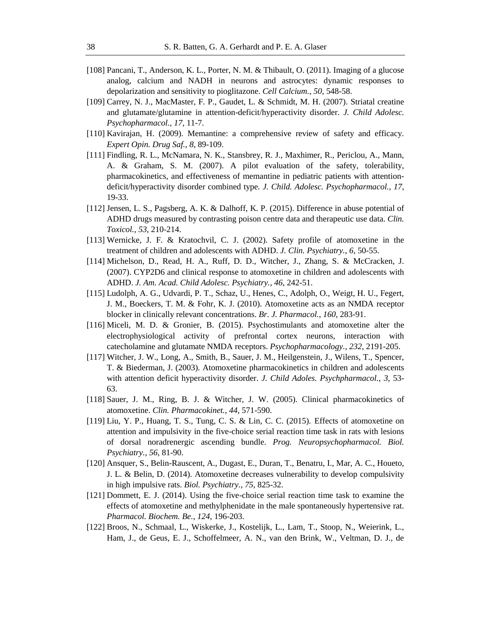- [108] Pancani, T., Anderson, K. L., Porter, N. M. & Thibault, O. (2011). Imaging of a glucose analog, calcium and NADH in neurons and astrocytes: dynamic responses to depolarization and sensitivity to pioglitazone. *Cell Calcium.*, *50*, 548-58.
- [109] Carrey, N. J., MacMaster, F. P., Gaudet, L. & Schmidt, M. H. (2007). Striatal creatine and glutamate/glutamine in attention-deficit/hyperactivity disorder. *J. Child Adolesc. Psychopharmacol.*, *17*, 11-7.
- [110] Kavirajan, H. (2009). Memantine: a comprehensive review of safety and efficacy. *Expert Opin. Drug Saf.*, *8*, 89-109.
- [111] Findling, R. L., McNamara, N. K., Stansbrey, R. J., Maxhimer, R., Periclou, A., Mann, A. & Graham, S. M. (2007). A pilot evaluation of the safety, tolerability, pharmacokinetics, and effectiveness of memantine in pediatric patients with attentiondeficit/hyperactivity disorder combined type*. J. Child. Adolesc. Psychopharmacol.*, *17*, 19-33.
- [112] Jensen, L. S., Pagsberg, A. K. & Dalhoff, K. P. (2015). Difference in abuse potential of ADHD drugs measured by contrasting poison centre data and therapeutic use data. *Clin. Toxicol.*, *53*, 210-214.
- [113] Wernicke, J. F. & Kratochvil, C. J. (2002). Safety profile of atomoxetine in the treatment of children and adolescents with ADHD. *J. Clin. Psychiatry.*, *6*, 50-55.
- [114] Michelson, D., Read, H. A., Ruff, D. D., Witcher, J., Zhang, S. & McCracken, J. (2007). CYP2D6 and clinical response to atomoxetine in children and adolescents with ADHD. *J. Am. Acad. Child Adolesc. Psychiatry.*, *46*, 242-51.
- [115] Ludolph, A. G., Udvardi, P. T., Schaz, U., Henes, C., Adolph, O., Weigt, H. U., Fegert, J. M., Boeckers, T. M. & Fohr, K. J. (2010). Atomoxetine acts as an NMDA receptor blocker in clinically relevant concentrations. *Br. J. Pharmacol.*, *160*, 283-91.
- [116] Miceli, M. D. & Gronier, B. (2015). Psychostimulants and atomoxetine alter the electrophysiological activity of prefrontal cortex neurons, interaction with catecholamine and glutamate NMDA receptors. *Psychopharmacology.*, *232*, 2191-205.
- [117] Witcher, J. W., Long, A., Smith, B., Sauer, J. M., Heilgenstein, J., Wilens, T., Spencer, T. & Biederman, J. (2003). Atomoxetine pharmacokinetics in children and adolescents with attention deficit hyperactivity disorder. *J. Child Adoles. Psychpharmacol.*, *3*, 53- 63.
- [118] Sauer, J. M., Ring, B. J. & Witcher, J. W. (2005). Clinical pharmacokinetics of atomoxetine. *Clin. Pharmacokinet.*, *44*, 571-590.
- [119] Liu, Y. P., Huang, T. S., Tung, C. S. & Lin, C. C. (2015). Effects of atomoxetine on attention and impulsivity in the five-choice serial reaction time task in rats with lesions of dorsal noradrenergic ascending bundle. *Prog. Neuropsychopharmacol. Biol. Psychiatry.*, *56*, 81-90.
- [120] Ansquer, S., Belin-Rauscent, A., Dugast, E., Duran, T., Benatru, I., Mar, A. C., Houeto, J. L. & Belin, D. (2014). Atomoxetine decreases vulnerability to develop compulsivity in high impulsive rats. *Biol. Psychiatry.*, *75*, 825-32.
- [121] Dommett, E. J. (2014). Using the five-choice serial reaction time task to examine the effects of atomoxetine and methylphenidate in the male spontaneously hypertensive rat. *Pharmacol. Biochem. Be.*, *124*, 196-203.
- [122] Broos, N., Schmaal, L., Wiskerke, J., Kostelijk, L., Lam, T., Stoop, N., Weierink, L., Ham, J., de Geus, E. J., Schoffelmeer, A. N., van den Brink, W., Veltman, D. J., de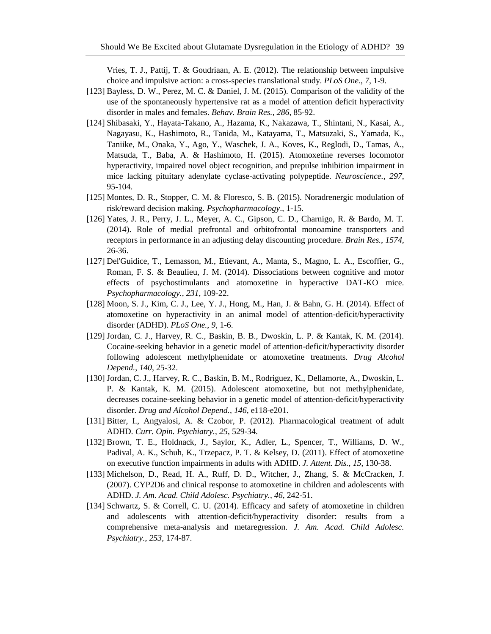Vries, T. J., Pattij, T. & Goudriaan, A. E. (2012). The relationship between impulsive choice and impulsive action: a cross-species translational study. *PLoS One.*, *7*, 1-9.

- [123] Bayless, D. W., Perez, M. C. & Daniel, J. M. (2015). Comparison of the validity of the use of the spontaneously hypertensive rat as a model of attention deficit hyperactivity disorder in males and females. *Behav. Brain Res.*, *286*, 85-92.
- [124] Shibasaki, Y., Hayata-Takano, A., Hazama, K., Nakazawa, T., Shintani, N., Kasai, A., Nagayasu, K., Hashimoto, R., Tanida, M., Katayama, T., Matsuzaki, S., Yamada, K., Taniike, M., Onaka, Y., Ago, Y., Waschek, J. A., Koves, K., Reglodi, D., Tamas, A., Matsuda, T., Baba, A. & Hashimoto, H. (2015). Atomoxetine reverses locomotor hyperactivity, impaired novel object recognition, and prepulse inhibition impairment in mice lacking pituitary adenylate cyclase-activating polypeptide. *Neuroscience.*, *297*, 95-104.
- [125] Montes, D. R., Stopper, C. M. & Floresco, S. B. (2015). Noradrenergic modulation of risk/reward decision making. *Psychopharmacology*., 1-15.
- [126] Yates, J. R., Perry, J. L., Meyer, A. C., Gipson, C. D., Charnigo, R. & Bardo, M. T. (2014). Role of medial prefrontal and orbitofrontal monoamine transporters and receptors in performance in an adjusting delay discounting procedure. *Brain Res.*, *1574*, 26-36.
- [127] Del'Guidice, T., Lemasson, M., Etievant, A., Manta, S., Magno, L. A., Escoffier, G., Roman, F. S. & Beaulieu, J. M. (2014). Dissociations between cognitive and motor effects of psychostimulants and atomoxetine in hyperactive DAT-KO mice. *Psychopharmacology.*, *231*, 109-22.
- [128] Moon, S. J., Kim, C. J., Lee, Y. J., Hong, M., Han, J. & Bahn, G. H. (2014). Effect of atomoxetine on hyperactivity in an animal model of attention-deficit/hyperactivity disorder (ADHD). *PLoS One.*, *9*, 1-6.
- [129] Jordan, C. J., Harvey, R. C., Baskin, B. B., Dwoskin, L. P. & Kantak, K. M. (2014). Cocaine-seeking behavior in a genetic model of attention-deficit/hyperactivity disorder following adolescent methylphenidate or atomoxetine treatments. *Drug Alcohol Depend.*, *140*, 25-32.
- [130] Jordan, C. J., Harvey, R. C., Baskin, B. M., Rodriguez, K., Dellamorte, A., Dwoskin, L. P. & Kantak, K. M. (2015). Adolescent atomoxetine, but not methylphenidate, decreases cocaine-seeking behavior in a genetic model of attention-deficit/hyperactivity disorder. *Drug and Alcohol Depend.*, *146*, e118-e201.
- [131] Bitter, I., Angyalosi, A. & Czobor, P. (2012). Pharmacological treatment of adult ADHD*. Curr. Opin. Psychiatry.*, *25*, 529-34.
- [132] Brown, T. E., Holdnack, J., Saylor, K., Adler, L., Spencer, T., Williams, D. W., Padival, A. K., Schuh, K., Trzepacz, P. T. & Kelsey, D. (2011). Effect of atomoxetine on executive function impairments in adults with ADHD. *J. Attent. Dis.*, *15*, 130-38.
- [133] Michelson, D., Read, H. A., Ruff, D. D., Witcher, J., Zhang, S. & McCracken, J. (2007). CYP2D6 and clinical response to atomoxetine in children and adolescents with ADHD. *J. Am. Acad. Child Adolesc. Psychiatry.*, *46*, 242-51.
- [134] Schwartz, S. & Correll, C. U. (2014). Efficacy and safety of atomoxetine in children and adolescents with attention-deficit/hyperactivity disorder: results from a comprehensive meta-analysis and metaregression. *J. Am. Acad. Child Adolesc. Psychiatry.*, *253*, 174-87.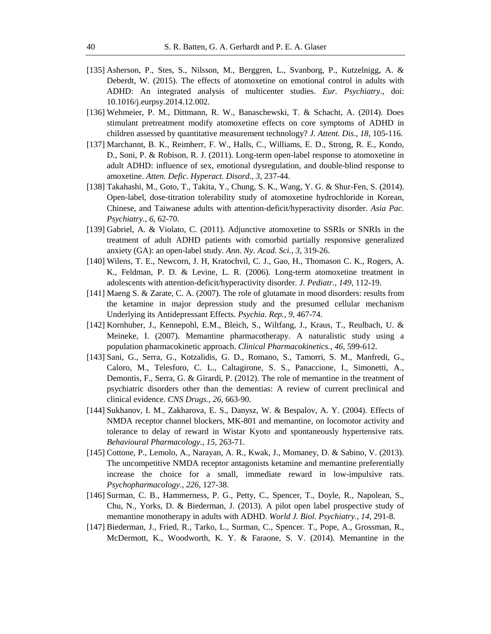- [135] Asherson, P., Stes, S., Nilsson, M., Berggren, L., Svanborg, P., Kutzelnigg, A. & Deberdt, W. (2015). The effects of atomoxetine on emotional control in adults with ADHD: An integrated analysis of multicenter studies. *Eur. Psychiatry*., doi: 10.1016/j.eurpsy.2014.12.002.
- [136] Wehmeier, P. M., Dittmann, R. W., Banaschewski, T. & Schacht, A. (2014). Does stimulant pretreatment modify atomoxetine effects on core symptoms of ADHD in children assessed by quantitative measurement technology? *J. Attent. Dis.*, *18*, 105-116.
- [137] Marchannt, B. K., Reimherr, F. W., Halls, C., Williams, E. D., Strong, R. E., Kondo, D., Soni, P. & Robison, R. J. (2011). Long-term open-label response to atomoxetine in adult ADHD: influence of sex, emotional dysregulation, and double-blind response to amoxetine. *Atten. Defic. Hyperact. Disord.*, *3*, 237-44.
- [138] Takahashi, M., Goto, T., Takita, Y., Chung, S. K., Wang, Y. G. & Shur-Fen, S. (2014). Open-label, dose-titration tolerability study of atomoxetine hydrochloride in Korean, Chinese, and Taiwanese adults with attention-deficit/hyperactivity disorder. *Asia Pac. Psychiatry.*, *6*, 62-70.
- [139] Gabriel, A. & Violato, C. (2011). Adjunctive atomoxetine to SSRIs or SNRIs in the treatment of adult ADHD patients with comorbid partially responsive generalized anxiety (GA): an open-label study. *Ann. Ny. Acad. Sci.*, *3*, 319-26.
- [140] Wilens, T. E., Newcorn, J. H, Kratochvil, C. J., Gao, H., Thomason C. K., Rogers, A. K., Feldman, P. D. & Levine, L. R. (2006). Long-term atomoxetine treatment in adolescents with attention-deficit/hyperactivity disorder. *J. Pediatr.*, *149*, 112-19.
- [141] Maeng S. & Zarate, C. A. (2007). The role of glutamate in mood disorders: results from the ketamine in major depression study and the presumed cellular mechanism Underlying its Antidepressant Effects. *Psychia. Rep.*, *9*, 467-74.
- [142] Kornhuber, J., Kennepohl, E.M., Bleich, S., Wiltfang, J., Kraus, T., Reulbach, U. & Meineke, I. (2007). Memantine pharmacotherapy. A naturalistic study using a population pharmacokinetic approach. *Clinical Pharmacokinetics.*, *46*, 599-612.
- [143] Sani, G., Serra, G., Kotzalidis, G. D., Romano, S., Tamorri, S. M., Manfredi, G., Caloro, M., Telesforo, C. L., Caltagirone, S. S., Panaccione, I., Simonetti, A., Demontis, F., Serra, G. & Girardi, P. (2012). The role of memantine in the treatment of psychiatric disorders other than the dementias: A review of current preclinical and clinical evidence. *CNS Drugs.*, *26*, 663-90.
- [144] Sukhanov, I. M., Zakharova, E. S., Danysz, W. & Bespalov, A. Y. (2004). Effects of NMDA receptor channel blockers, MK-801 and memantine, on locomotor activity and tolerance to delay of reward in Wistar Kyoto and spontaneously hypertensive rats. *Behavioural Pharmacology.*, *15*, 263-71.
- [145] Cottone, P., Lemolo, A., Narayan, A. R., Kwak, J., Momaney, D. & Sabino, V. (2013). The uncompetitive NMDA receptor antagonists ketamine and memantine preferentially increase the choice for a small, immediate reward in low-impulsive rats. *Psychopharmacology.*, *226*, 127-38.
- [146] Surman, C. B., Hammerness, P. G., Petty, C., Spencer, T., Doyle, R., Napolean, S., Chu, N., Yorks, D. & Biederman, J. (2013). A pilot open label prospective study of memantine monotherapy in adults with ADHD. *World J. Biol. Psychiatry.*, *14*, 291-8.
- [147] Biederman, J., Fried, R., Tarko, L., Surman, C., Spencer. T., Pope, A., Grossman, R., McDermott, K., Woodworth, K. Y. & Faraone, S. V. (2014). Memantine in the